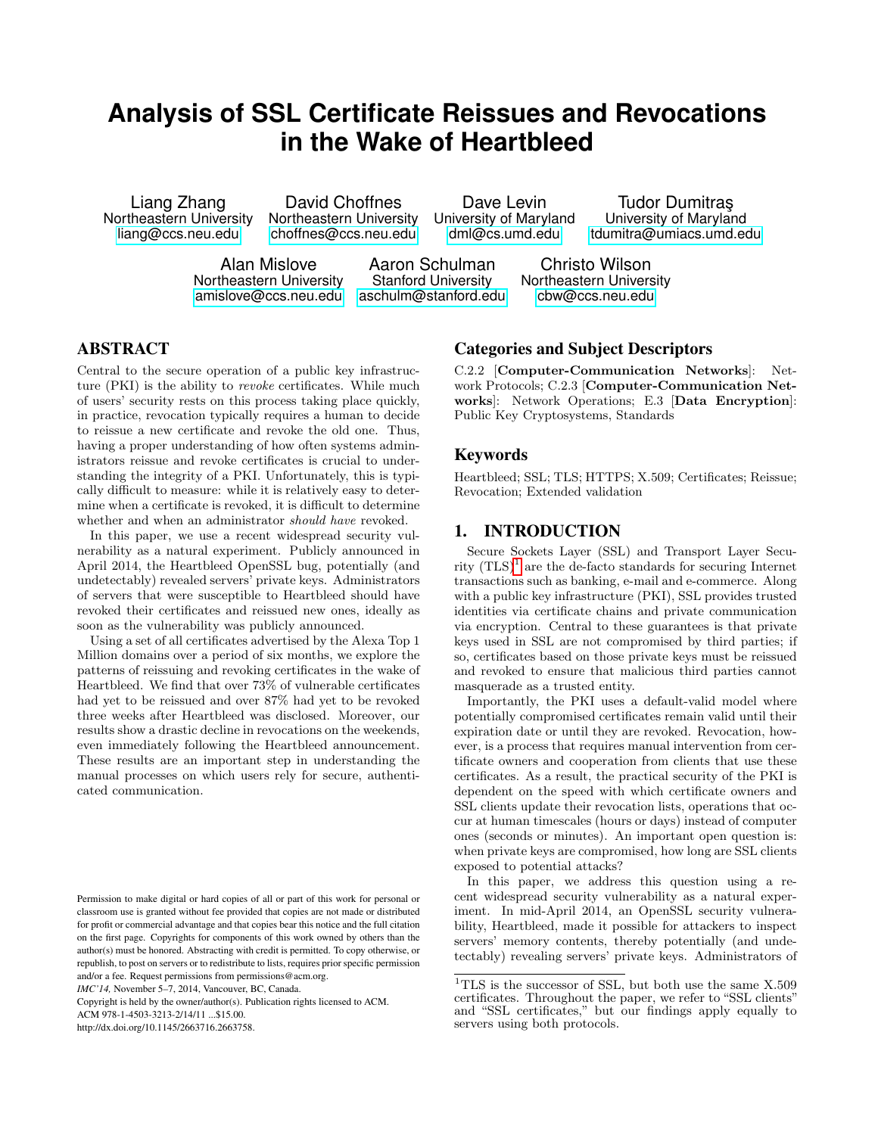# **Analysis of SSL Certificate Reissues and Revocations in the Wake of Heartbleed**

ortheastern University Northeastern University University of Maryland University of Maryland University Ortheastern Maryland University Ortheastern Anaryland University Ortheastern Maryland University Ortheastern Maryland

Liang Zhang David Choffnes Dave Levin Tudor Dumitras Charges Levin between University Northeastern University University of Maryland University of Maryland tdumitra@umiacs.umd.edu

> Alan Mislove Aaron Schulman Christo Wilson<br>Northeastern University Stanford University Northeastern Univers [amislove@ccs.neu.edu](mailto:amislove@ccs.neu.edu) [aschulm@stanford.edu](mailto:aschulm@stanford.edu) [cbw@ccs.neu.edu](mailto:cbw@ccs.neu.edu)

Northeastern University

# ABSTRACT

Central to the secure operation of a public key infrastructure (PKI) is the ability to revoke certificates. While much of users' security rests on this process taking place quickly, in practice, revocation typically requires a human to decide to reissue a new certificate and revoke the old one. Thus, having a proper understanding of how often systems administrators reissue and revoke certificates is crucial to understanding the integrity of a PKI. Unfortunately, this is typically difficult to measure: while it is relatively easy to determine when a certificate is revoked, it is difficult to determine whether and when an administrator should have revoked.

In this paper, we use a recent widespread security vulnerability as a natural experiment. Publicly announced in April 2014, the Heartbleed OpenSSL bug, potentially (and undetectably) revealed servers' private keys. Administrators of servers that were susceptible to Heartbleed should have revoked their certificates and reissued new ones, ideally as soon as the vulnerability was publicly announced.

Using a set of all certificates advertised by the Alexa Top 1 Million domains over a period of six months, we explore the patterns of reissuing and revoking certificates in the wake of Heartbleed. We find that over 73% of vulnerable certificates had yet to be reissued and over 87% had yet to be revoked three weeks after Heartbleed was disclosed. Moreover, our results show a drastic decline in revocations on the weekends, even immediately following the Heartbleed announcement. These results are an important step in understanding the manual processes on which users rely for secure, authenticated communication.

*IMC'14,* November 5–7, 2014, Vancouver, BC, Canada.

Copyright is held by the owner/author(s). Publication rights licensed to ACM.

ACM 978-1-4503-3213-2/14/11 ...\$15.00.

http://dx.doi.org/10.1145/2663716.2663758.

# Categories and Subject Descriptors

C.2.2 [Computer-Communication Networks]: Network Protocols; C.2.3 [Computer-Communication Networks]: Network Operations; E.3 [Data Encryption]: Public Key Cryptosystems, Standards

## Keywords

Heartbleed; SSL; TLS; HTTPS; X.509; Certificates; Reissue; Revocation; Extended validation

# 1. INTRODUCTION

Secure Sockets Layer (SSL) and Transport Layer Security  $(TLS)^{1}$  $(TLS)^{1}$  $(TLS)^{1}$  are the de-facto standards for securing Internet transactions such as banking, e-mail and e-commerce. Along with a public key infrastructure (PKI), SSL provides trusted identities via certificate chains and private communication via encryption. Central to these guarantees is that private keys used in SSL are not compromised by third parties; if so, certificates based on those private keys must be reissued and revoked to ensure that malicious third parties cannot masquerade as a trusted entity.

Importantly, the PKI uses a default-valid model where potentially compromised certificates remain valid until their expiration date or until they are revoked. Revocation, however, is a process that requires manual intervention from certificate owners and cooperation from clients that use these certificates. As a result, the practical security of the PKI is dependent on the speed with which certificate owners and SSL clients update their revocation lists, operations that occur at human timescales (hours or days) instead of computer ones (seconds or minutes). An important open question is: when private keys are compromised, how long are SSL clients exposed to potential attacks?

In this paper, we address this question using a recent widespread security vulnerability as a natural experiment. In mid-April 2014, an OpenSSL security vulnerability, Heartbleed, made it possible for attackers to inspect servers' memory contents, thereby potentially (and undetectably) revealing servers' private keys. Administrators of

Permission to make digital or hard copies of all or part of this work for personal or classroom use is granted without fee provided that copies are not made or distributed for profit or commercial advantage and that copies bear this notice and the full citation on the first page. Copyrights for components of this work owned by others than the author(s) must be honored. Abstracting with credit is permitted. To copy otherwise, or republish, to post on servers or to redistribute to lists, requires prior specific permission and/or a fee. Request permissions from permissions@acm.org.

<span id="page-0-0"></span><sup>&</sup>lt;sup>1</sup>TLS is the successor of SSL, but both use the same  $X.509$ certificates. Throughout the paper, we refer to "SSL clients" and "SSL certificates," but our findings apply equally to servers using both protocols.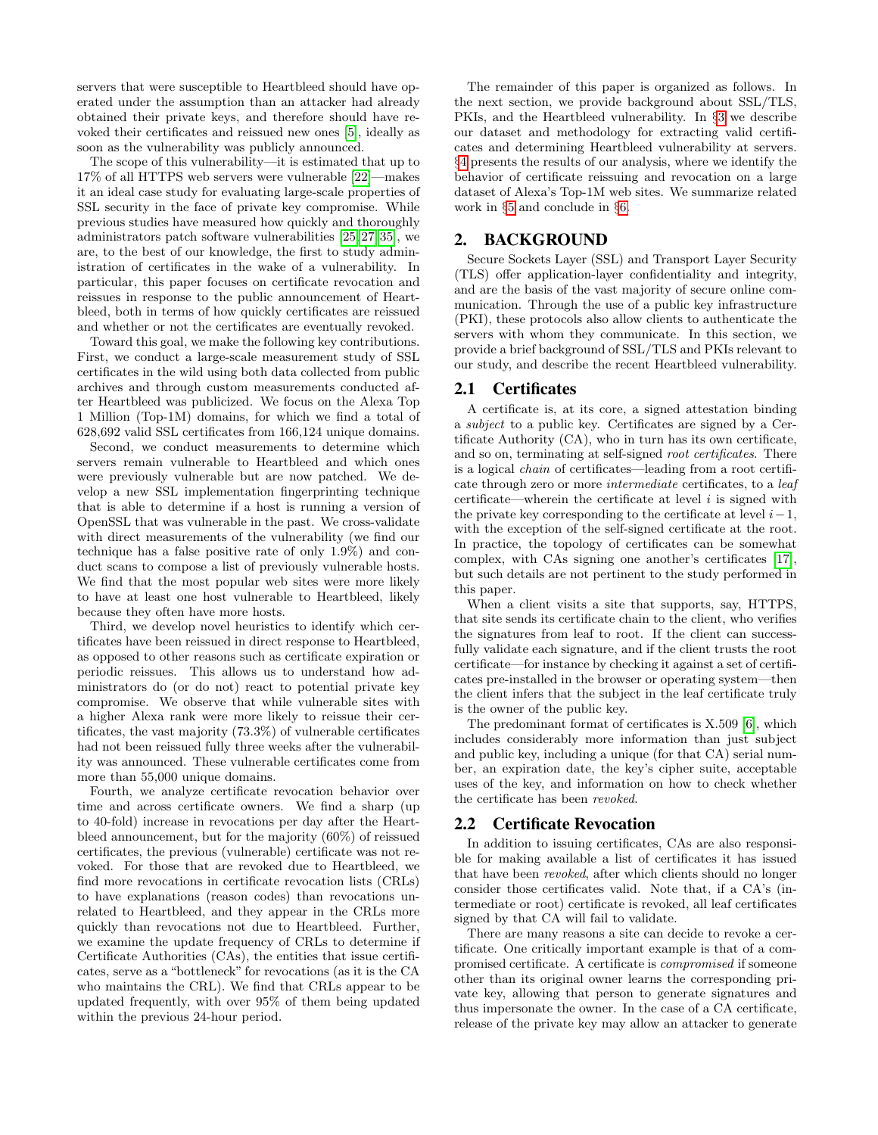servers that were susceptible to Heartbleed should have operated under the assumption than an attacker had already obtained their private keys, and therefore should have revoked their certificates and reissued new ones [\[5\]](#page-13-0), ideally as soon as the vulnerability was publicly announced.

The scope of this vulnerability—it is estimated that up to 17% of all HTTPS web servers were vulnerable [\[22\]](#page-13-1)—makes it an ideal case study for evaluating large-scale properties of SSL security in the face of private key compromise. While previous studies have measured how quickly and thoroughly administrators patch software vulnerabilities [\[25,](#page-13-2) [27,](#page-13-3) [35\]](#page-13-4), we are, to the best of our knowledge, the first to study administration of certificates in the wake of a vulnerability. In particular, this paper focuses on certificate revocation and reissues in response to the public announcement of Heartbleed, both in terms of how quickly certificates are reissued and whether or not the certificates are eventually revoked.

Toward this goal, we make the following key contributions. First, we conduct a large-scale measurement study of SSL certificates in the wild using both data collected from public archives and through custom measurements conducted after Heartbleed was publicized. We focus on the Alexa Top 1 Million (Top-1M) domains, for which we find a total of 628,692 valid SSL certificates from 166,124 unique domains.

Second, we conduct measurements to determine which servers remain vulnerable to Heartbleed and which ones were previously vulnerable but are now patched. We develop a new SSL implementation fingerprinting technique that is able to determine if a host is running a version of OpenSSL that was vulnerable in the past. We cross-validate with direct measurements of the vulnerability (we find our technique has a false positive rate of only 1.9%) and conduct scans to compose a list of previously vulnerable hosts. We find that the most popular web sites were more likely to have at least one host vulnerable to Heartbleed, likely because they often have more hosts.

Third, we develop novel heuristics to identify which certificates have been reissued in direct response to Heartbleed, as opposed to other reasons such as certificate expiration or periodic reissues. This allows us to understand how administrators do (or do not) react to potential private key compromise. We observe that while vulnerable sites with a higher Alexa rank were more likely to reissue their certificates, the vast majority (73.3%) of vulnerable certificates had not been reissued fully three weeks after the vulnerability was announced. These vulnerable certificates come from more than 55,000 unique domains.

Fourth, we analyze certificate revocation behavior over time and across certificate owners. We find a sharp (up to 40-fold) increase in revocations per day after the Heartbleed announcement, but for the majority (60%) of reissued certificates, the previous (vulnerable) certificate was not revoked. For those that are revoked due to Heartbleed, we find more revocations in certificate revocation lists (CRLs) to have explanations (reason codes) than revocations unrelated to Heartbleed, and they appear in the CRLs more quickly than revocations not due to Heartbleed. Further, we examine the update frequency of CRLs to determine if Certificate Authorities (CAs), the entities that issue certificates, serve as a "bottleneck" for revocations (as it is the CA who maintains the CRL). We find that CRLs appear to be updated frequently, with over 95% of them being updated within the previous 24-hour period.

The remainder of this paper is organized as follows. In the next section, we provide background about SSL/TLS, PKIs, and the Heartbleed vulnerability. In §[3](#page-2-0) we describe our dataset and methodology for extracting valid certificates and determining Heartbleed vulnerability at servers. §[4](#page-5-0) presents the results of our analysis, where we identify the behavior of certificate reissuing and revocation on a large dataset of Alexa's Top-1M web sites. We summarize related work in §[5](#page-11-0) and conclude in §[6.](#page-11-1)

# 2. BACKGROUND

Secure Sockets Layer (SSL) and Transport Layer Security (TLS) offer application-layer confidentiality and integrity, and are the basis of the vast majority of secure online communication. Through the use of a public key infrastructure (PKI), these protocols also allow clients to authenticate the servers with whom they communicate. In this section, we provide a brief background of SSL/TLS and PKIs relevant to our study, and describe the recent Heartbleed vulnerability.

## 2.1 Certificates

A certificate is, at its core, a signed attestation binding a subject to a public key. Certificates are signed by a Certificate Authority (CA), who in turn has its own certificate, and so on, terminating at self-signed root certificates. There is a logical chain of certificates—leading from a root certificate through zero or more intermediate certificates, to a leaf certificate—wherein the certificate at level  $i$  is signed with the private key corresponding to the certificate at level  $i-1$ , with the exception of the self-signed certificate at the root. In practice, the topology of certificates can be somewhat complex, with CAs signing one another's certificates [\[17\]](#page-13-5), but such details are not pertinent to the study performed in this paper.

When a client visits a site that supports, say, HTTPS, that site sends its certificate chain to the client, who verifies the signatures from leaf to root. If the client can successfully validate each signature, and if the client trusts the root certificate—for instance by checking it against a set of certificates pre-installed in the browser or operating system—then the client infers that the subject in the leaf certificate truly is the owner of the public key.

The predominant format of certificates is X.509 [\[6\]](#page-13-6), which includes considerably more information than just subject and public key, including a unique (for that CA) serial number, an expiration date, the key's cipher suite, acceptable uses of the key, and information on how to check whether the certificate has been revoked.

#### 2.2 Certificate Revocation

In addition to issuing certificates, CAs are also responsible for making available a list of certificates it has issued that have been revoked, after which clients should no longer consider those certificates valid. Note that, if a CA's (intermediate or root) certificate is revoked, all leaf certificates signed by that CA will fail to validate.

There are many reasons a site can decide to revoke a certificate. One critically important example is that of a compromised certificate. A certificate is compromised if someone other than its original owner learns the corresponding private key, allowing that person to generate signatures and thus impersonate the owner. In the case of a CA certificate, release of the private key may allow an attacker to generate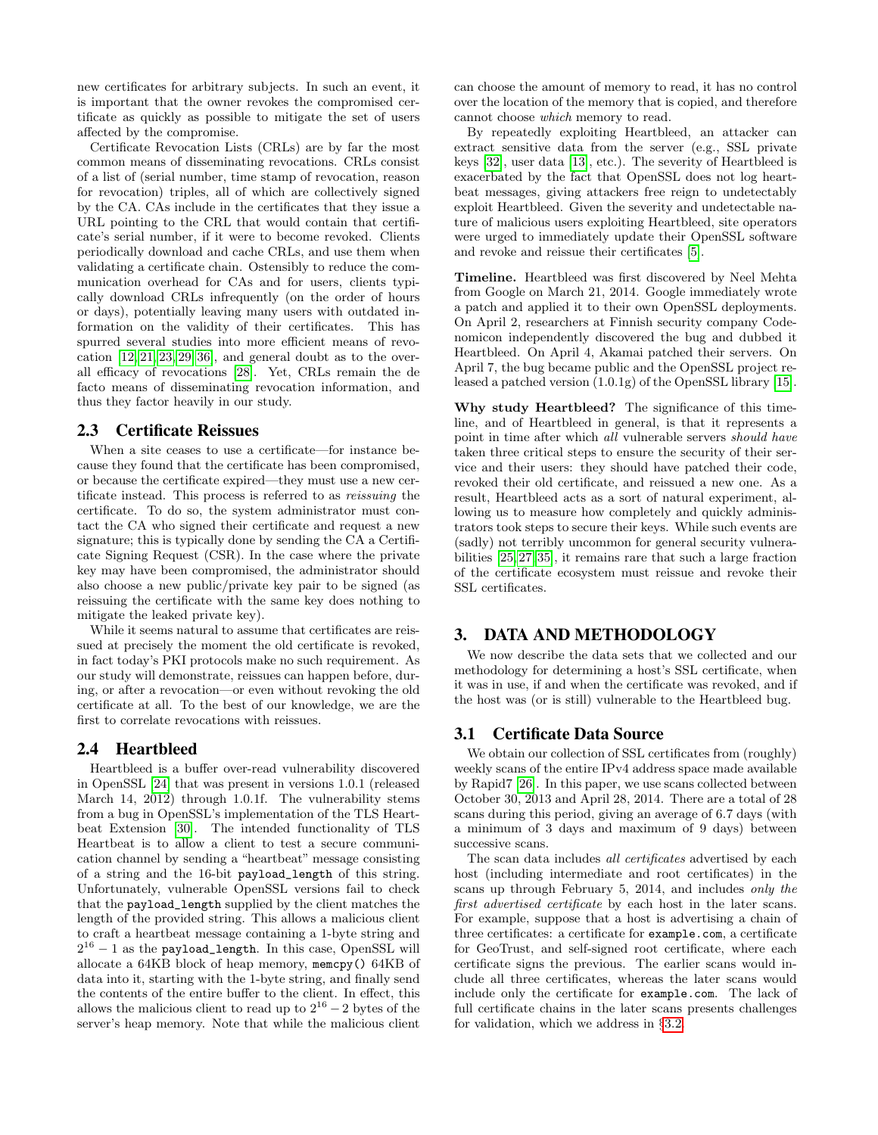new certificates for arbitrary subjects. In such an event, it is important that the owner revokes the compromised certificate as quickly as possible to mitigate the set of users affected by the compromise.

Certificate Revocation Lists (CRLs) are by far the most common means of disseminating revocations. CRLs consist of a list of (serial number, time stamp of revocation, reason for revocation) triples, all of which are collectively signed by the CA. CAs include in the certificates that they issue a URL pointing to the CRL that would contain that certificate's serial number, if it were to become revoked. Clients periodically download and cache CRLs, and use them when validating a certificate chain. Ostensibly to reduce the communication overhead for CAs and for users, clients typically download CRLs infrequently (on the order of hours or days), potentially leaving many users with outdated information on the validity of their certificates. This has spurred several studies into more efficient means of revocation  $[12, 21, 23, 29, 36]$  $[12, 21, 23, 29, 36]$  $[12, 21, 23, 29, 36]$  $[12, 21, 23, 29, 36]$  $[12, 21, 23, 29, 36]$ , and general doubt as to the overall efficacy of revocations [\[28\]](#page-13-12). Yet, CRLs remain the de facto means of disseminating revocation information, and thus they factor heavily in our study.

#### 2.3 Certificate Reissues

When a site ceases to use a certificate—for instance because they found that the certificate has been compromised, or because the certificate expired—they must use a new certificate instead. This process is referred to as reissuing the certificate. To do so, the system administrator must contact the CA who signed their certificate and request a new signature; this is typically done by sending the CA a Certificate Signing Request (CSR). In the case where the private key may have been compromised, the administrator should also choose a new public/private key pair to be signed (as reissuing the certificate with the same key does nothing to mitigate the leaked private key).

While it seems natural to assume that certificates are reissued at precisely the moment the old certificate is revoked, in fact today's PKI protocols make no such requirement. As our study will demonstrate, reissues can happen before, during, or after a revocation—or even without revoking the old certificate at all. To the best of our knowledge, we are the first to correlate revocations with reissues.

#### 2.4 Heartbleed

Heartbleed is a buffer over-read vulnerability discovered in OpenSSL [\[24\]](#page-13-13) that was present in versions 1.0.1 (released March 14, 2012) through 1.0.1f. The vulnerability stems from a bug in OpenSSL's implementation of the TLS Heartbeat Extension [\[30\]](#page-13-14). The intended functionality of TLS Heartbeat is to allow a client to test a secure communication channel by sending a "heartbeat" message consisting of a string and the 16-bit payload\_length of this string. Unfortunately, vulnerable OpenSSL versions fail to check that the payload\_length supplied by the client matches the length of the provided string. This allows a malicious client to craft a heartbeat message containing a 1-byte string and  $2^{16} - 1$  as the payload\_length. In this case, OpenSSL will allocate a 64KB block of heap memory, memcpy() 64KB of data into it, starting with the 1-byte string, and finally send the contents of the entire buffer to the client. In effect, this allows the malicious client to read up to  $2^{16} - 2$  bytes of the server's heap memory. Note that while the malicious client

can choose the amount of memory to read, it has no control over the location of the memory that is copied, and therefore cannot choose which memory to read.

By repeatedly exploiting Heartbleed, an attacker can extract sensitive data from the server (e.g., SSL private keys [\[32\]](#page-13-15), user data [\[13\]](#page-13-16), etc.). The severity of Heartbleed is exacerbated by the fact that OpenSSL does not log heartbeat messages, giving attackers free reign to undetectably exploit Heartbleed. Given the severity and undetectable nature of malicious users exploiting Heartbleed, site operators were urged to immediately update their OpenSSL software and revoke and reissue their certificates [\[5\]](#page-13-0).

Timeline. Heartbleed was first discovered by Neel Mehta from Google on March 21, 2014. Google immediately wrote a patch and applied it to their own OpenSSL deployments. On April 2, researchers at Finnish security company Codenomicon independently discovered the bug and dubbed it Heartbleed. On April 4, Akamai patched their servers. On April 7, the bug became public and the OpenSSL project released a patched version (1.0.1g) of the OpenSSL library [\[15\]](#page-13-17).

Why study Heartbleed? The significance of this timeline, and of Heartbleed in general, is that it represents a point in time after which all vulnerable servers should have taken three critical steps to ensure the security of their service and their users: they should have patched their code, revoked their old certificate, and reissued a new one. As a result, Heartbleed acts as a sort of natural experiment, allowing us to measure how completely and quickly administrators took steps to secure their keys. While such events are (sadly) not terribly uncommon for general security vulnerabilities [\[25,](#page-13-2) [27,](#page-13-3) [35\]](#page-13-4), it remains rare that such a large fraction of the certificate ecosystem must reissue and revoke their SSL certificates.

# <span id="page-2-0"></span>3. DATA AND METHODOLOGY

We now describe the data sets that we collected and our methodology for determining a host's SSL certificate, when it was in use, if and when the certificate was revoked, and if the host was (or is still) vulnerable to the Heartbleed bug.

## <span id="page-2-1"></span>3.1 Certificate Data Source

We obtain our collection of SSL certificates from (roughly) weekly scans of the entire IPv4 address space made available by Rapid7 [\[26\]](#page-13-18). In this paper, we use scans collected between October 30, 2013 and April 28, 2014. There are a total of 28 scans during this period, giving an average of 6.7 days (with a minimum of 3 days and maximum of 9 days) between successive scans.

The scan data includes *all certificates* advertised by each host (including intermediate and root certificates) in the scans up through February 5, 2014, and includes only the first advertised certificate by each host in the later scans. For example, suppose that a host is advertising a chain of three certificates: a certificate for example.com, a certificate for GeoTrust, and self-signed root certificate, where each certificate signs the previous. The earlier scans would include all three certificates, whereas the later scans would include only the certificate for example.com. The lack of full certificate chains in the later scans presents challenges for validation, which we address in §[3.2.](#page-3-0)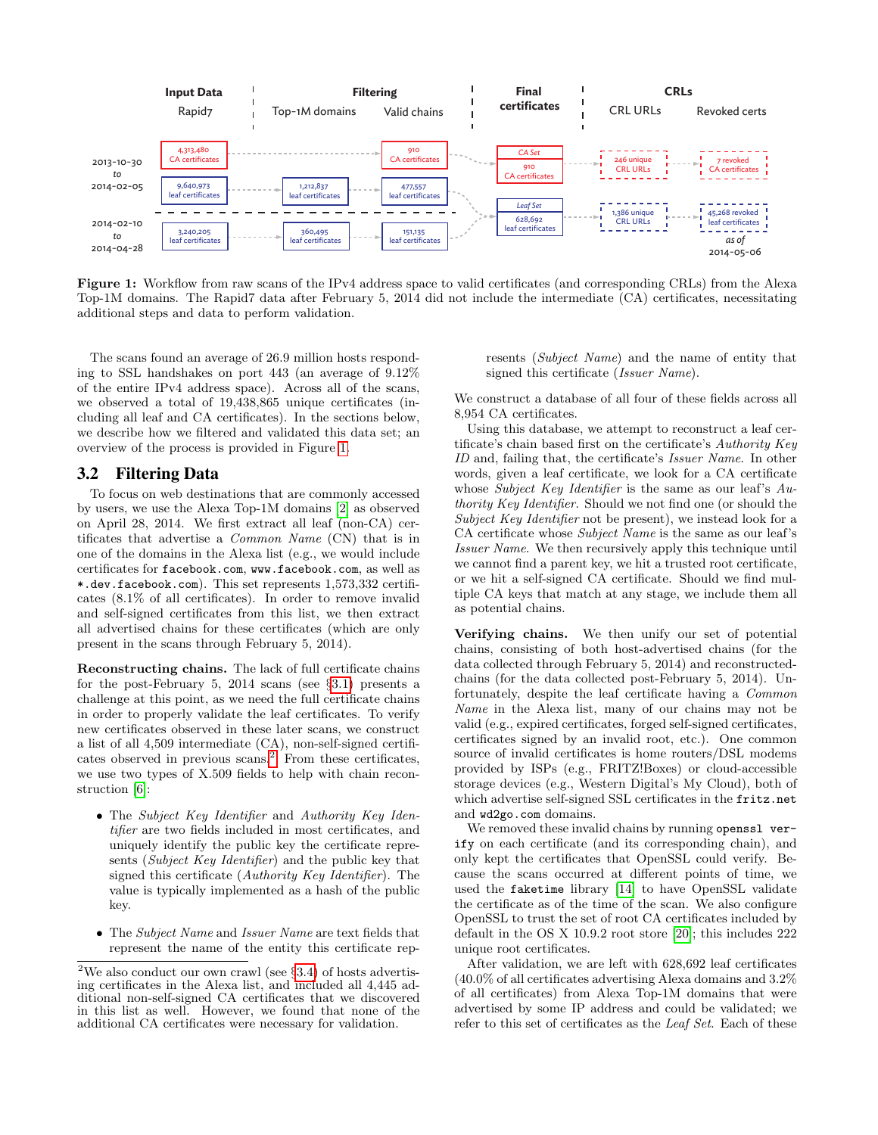<span id="page-3-1"></span>

Figure 1: Workflow from raw scans of the IPv4 address space to valid certificates (and corresponding CRLs) from the Alexa Top-1M domains. The Rapid7 data after February 5, 2014 did not include the intermediate (CA) certificates, necessitating additional steps and data to perform validation.

The scans found an average of 26.9 million hosts responding to SSL handshakes on port 443 (an average of 9.12% of the entire IPv4 address space). Across all of the scans, we observed a total of 19,438,865 unique certificates (including all leaf and CA certificates). In the sections below, we describe how we filtered and validated this data set; an overview of the process is provided in Figure [1.](#page-3-1)

# <span id="page-3-0"></span>3.2 Filtering Data

To focus on web destinations that are commonly accessed by users, we use the Alexa Top-1M domains [\[2\]](#page-12-0) as observed on April 28, 2014. We first extract all leaf (non-CA) certificates that advertise a Common Name (CN) that is in one of the domains in the Alexa list (e.g., we would include certificates for facebook.com, www.facebook.com, as well as \*.dev.facebook.com). This set represents 1,573,332 certificates (8.1% of all certificates). In order to remove invalid and self-signed certificates from this list, we then extract all advertised chains for these certificates (which are only present in the scans through February 5, 2014).

Reconstructing chains. The lack of full certificate chains for the post-February 5, 2014 scans (see §[3.1\)](#page-2-1) presents a challenge at this point, as we need the full certificate chains in order to properly validate the leaf certificates. To verify new certificates observed in these later scans, we construct a list of all 4,509 intermediate (CA), non-self-signed certifi-cates observed in previous scans.<sup>[2](#page-3-2)</sup> From these certificates, we use two types of X.509 fields to help with chain reconstruction [\[6\]](#page-13-6):

- The Subject Key Identifier and Authority Key Identifier are two fields included in most certificates, and uniquely identify the public key the certificate represents (Subject Key Identifier) and the public key that signed this certificate (Authority Key Identifier). The value is typically implemented as a hash of the public key.
- The *Subject Name* and *Issuer Name* are text fields that represent the name of the entity this certificate rep-

resents (Subject Name) and the name of entity that signed this certificate (Issuer Name).

We construct a database of all four of these fields across all 8,954 CA certificates.

Using this database, we attempt to reconstruct a leaf certificate's chain based first on the certificate's Authority Key ID and, failing that, the certificate's Issuer Name. In other words, given a leaf certificate, we look for a CA certificate whose Subject Key Identifier is the same as our leaf's Authority Key Identifier. Should we not find one (or should the Subject Key Identifier not be present), we instead look for a CA certificate whose Subject Name is the same as our leaf's Issuer Name. We then recursively apply this technique until we cannot find a parent key, we hit a trusted root certificate, or we hit a self-signed CA certificate. Should we find multiple CA keys that match at any stage, we include them all as potential chains.

Verifying chains. We then unify our set of potential chains, consisting of both host-advertised chains (for the data collected through February 5, 2014) and reconstructedchains (for the data collected post-February 5, 2014). Unfortunately, despite the leaf certificate having a Common Name in the Alexa list, many of our chains may not be valid (e.g., expired certificates, forged self-signed certificates, certificates signed by an invalid root, etc.). One common source of invalid certificates is home routers/DSL modems provided by ISPs (e.g., FRITZ!Boxes) or cloud-accessible storage devices (e.g., Western Digital's My Cloud), both of which advertise self-signed SSL certificates in the fritz.net and wd2go.com domains.

We removed these invalid chains by running openssl verify on each certificate (and its corresponding chain), and only kept the certificates that OpenSSL could verify. Because the scans occurred at different points of time, we used the faketime library [\[14\]](#page-13-19) to have OpenSSL validate the certificate as of the time of the scan. We also configure OpenSSL to trust the set of root CA certificates included by default in the OS X 10.9.2 root store [\[20\]](#page-13-20); this includes 222 unique root certificates.

After validation, we are left with 628,692 leaf certificates (40.0% of all certificates advertising Alexa domains and 3.2% of all certificates) from Alexa Top-1M domains that were advertised by some IP address and could be validated; we refer to this set of certificates as the Leaf Set. Each of these

<span id="page-3-2"></span><sup>&</sup>lt;sup>2</sup>We also conduct our own crawl (see  $\S 3.4$ ) of hosts advertising certificates in the Alexa list, and included all 4,445 additional non-self-signed CA certificates that we discovered in this list as well. However, we found that none of the additional CA certificates were necessary for validation.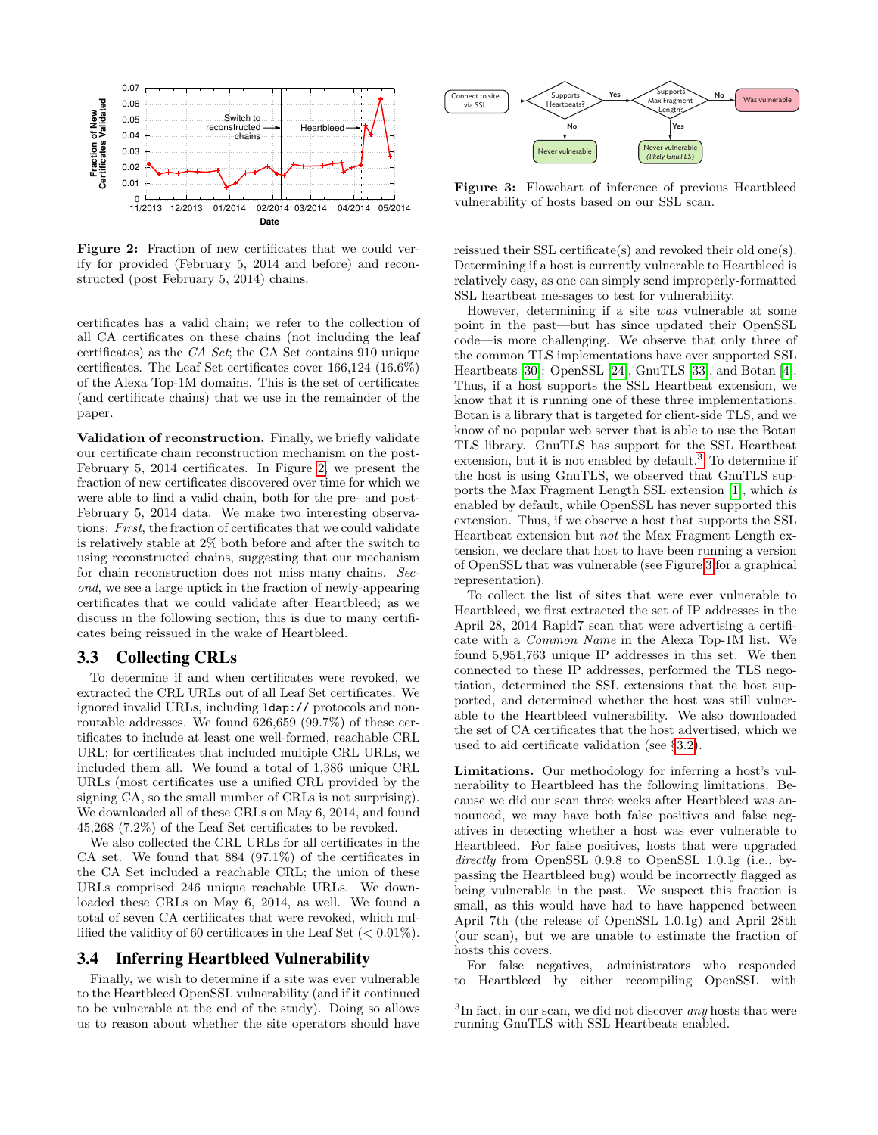<span id="page-4-1"></span>

Figure 2: Fraction of new certificates that we could verify for provided (February 5, 2014 and before) and reconstructed (post February 5, 2014) chains.

certificates has a valid chain; we refer to the collection of all CA certificates on these chains (not including the leaf certificates) as the CA Set; the CA Set contains 910 unique certificates. The Leaf Set certificates cover 166,124 (16.6%) of the Alexa Top-1M domains. This is the set of certificates (and certificate chains) that we use in the remainder of the paper.

Validation of reconstruction. Finally, we briefly validate our certificate chain reconstruction mechanism on the post-February 5, 2014 certificates. In Figure [2,](#page-4-1) we present the fraction of new certificates discovered over time for which we were able to find a valid chain, both for the pre- and post-February 5, 2014 data. We make two interesting observations: First, the fraction of certificates that we could validate is relatively stable at 2% both before and after the switch to using reconstructed chains, suggesting that our mechanism for chain reconstruction does not miss many chains. Second, we see a large uptick in the fraction of newly-appearing certificates that we could validate after Heartbleed; as we discuss in the following section, this is due to many certificates being reissued in the wake of Heartbleed.

#### 3.3 Collecting CRLs

To determine if and when certificates were revoked, we extracted the CRL URLs out of all Leaf Set certificates. We ignored invalid URLs, including ldap:// protocols and nonroutable addresses. We found 626,659 (99.7%) of these certificates to include at least one well-formed, reachable CRL URL; for certificates that included multiple CRL URLs, we included them all. We found a total of 1,386 unique CRL URLs (most certificates use a unified CRL provided by the signing CA, so the small number of CRLs is not surprising). We downloaded all of these CRLs on May 6, 2014, and found 45,268 (7.2%) of the Leaf Set certificates to be revoked.

We also collected the CRL URLs for all certificates in the CA set. We found that 884 (97.1%) of the certificates in the CA Set included a reachable CRL; the union of these URLs comprised 246 unique reachable URLs. We downloaded these CRLs on May 6, 2014, as well. We found a total of seven CA certificates that were revoked, which nullified the validity of 60 certificates in the Leaf Set  $(< 0.01\%)$ .

#### <span id="page-4-0"></span>3.4 Inferring Heartbleed Vulnerability

Finally, we wish to determine if a site was ever vulnerable to the Heartbleed OpenSSL vulnerability (and if it continued to be vulnerable at the end of the study). Doing so allows us to reason about whether the site operators should have

<span id="page-4-3"></span>

Figure 3: Flowchart of inference of previous Heartbleed vulnerability of hosts based on our SSL scan.

reissued their SSL certificate(s) and revoked their old one(s). Determining if a host is currently vulnerable to Heartbleed is relatively easy, as one can simply send improperly-formatted SSL heartbeat messages to test for vulnerability.

However, determining if a site was vulnerable at some point in the past—but has since updated their OpenSSL code—is more challenging. We observe that only three of the common TLS implementations have ever supported SSL Heartbeats [\[30\]](#page-13-14): OpenSSL [\[24\]](#page-13-13), GnuTLS [\[33\]](#page-13-21), and Botan [\[4\]](#page-13-22). Thus, if a host supports the SSL Heartbeat extension, we know that it is running one of these three implementations. Botan is a library that is targeted for client-side TLS, and we know of no popular web server that is able to use the Botan TLS library. GnuTLS has support for the SSL Heartbeat extension, but it is not enabled by default.<sup>[3](#page-4-2)</sup> To determine if the host is using GnuTLS, we observed that GnuTLS supports the Max Fragment Length SSL extension [\[1\]](#page-12-1), which is enabled by default, while OpenSSL has never supported this extension. Thus, if we observe a host that supports the SSL Heartbeat extension but not the Max Fragment Length extension, we declare that host to have been running a version of OpenSSL that was vulnerable (see Figure [3](#page-4-3) for a graphical representation).

To collect the list of sites that were ever vulnerable to Heartbleed, we first extracted the set of IP addresses in the April 28, 2014 Rapid7 scan that were advertising a certificate with a Common Name in the Alexa Top-1M list. We found 5,951,763 unique IP addresses in this set. We then connected to these IP addresses, performed the TLS negotiation, determined the SSL extensions that the host supported, and determined whether the host was still vulnerable to the Heartbleed vulnerability. We also downloaded the set of CA certificates that the host advertised, which we used to aid certificate validation (see §[3.2\)](#page-3-0).

Limitations. Our methodology for inferring a host's vulnerability to Heartbleed has the following limitations. Because we did our scan three weeks after Heartbleed was announced, we may have both false positives and false negatives in detecting whether a host was ever vulnerable to Heartbleed. For false positives, hosts that were upgraded directly from OpenSSL 0.9.8 to OpenSSL 1.0.1g (i.e., bypassing the Heartbleed bug) would be incorrectly flagged as being vulnerable in the past. We suspect this fraction is small, as this would have had to have happened between April 7th (the release of OpenSSL 1.0.1g) and April 28th (our scan), but we are unable to estimate the fraction of hosts this covers.

For false negatives, administrators who responded to Heartbleed by either recompiling OpenSSL with

<span id="page-4-2"></span> ${}^{3}$ In fact, in our scan, we did not discover *any* hosts that were running GnuTLS with SSL Heartbeats enabled.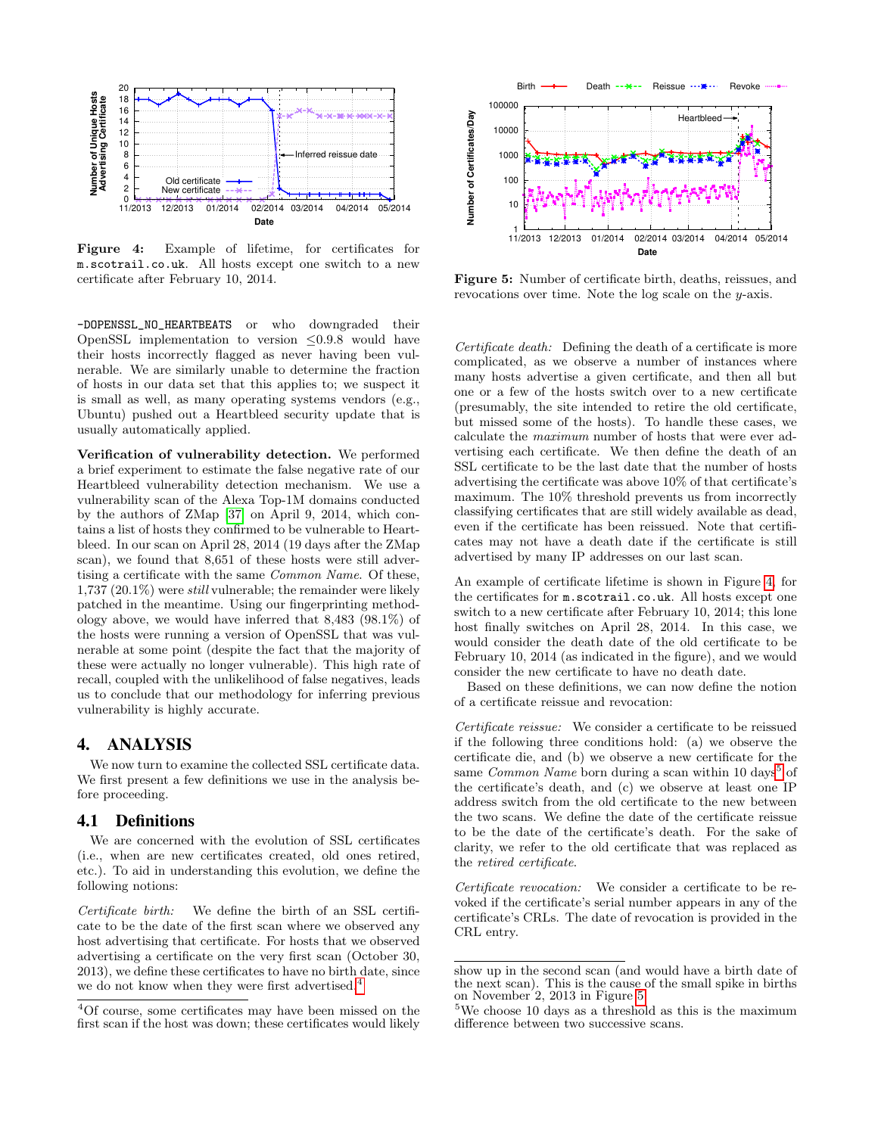<span id="page-5-2"></span>

Figure 4: Example of lifetime, for certificates for m.scotrail.co.uk. All hosts except one switch to a new certificate after February 10, 2014.

-DOPENSSL\_NO\_HEARTBEATS or who downgraded their OpenSSL implementation to version  $\leq 0.9.8$  would have their hosts incorrectly flagged as never having been vulnerable. We are similarly unable to determine the fraction of hosts in our data set that this applies to; we suspect it is small as well, as many operating systems vendors (e.g., Ubuntu) pushed out a Heartbleed security update that is usually automatically applied.

Verification of vulnerability detection. We performed a brief experiment to estimate the false negative rate of our Heartbleed vulnerability detection mechanism. We use a vulnerability scan of the Alexa Top-1M domains conducted by the authors of ZMap [\[37\]](#page-13-23) on April 9, 2014, which contains a list of hosts they confirmed to be vulnerable to Heartbleed. In our scan on April 28, 2014 (19 days after the ZMap scan), we found that 8,651 of these hosts were still advertising a certificate with the same Common Name. Of these, 1,737 (20.1%) were still vulnerable; the remainder were likely patched in the meantime. Using our fingerprinting methodology above, we would have inferred that 8,483 (98.1%) of the hosts were running a version of OpenSSL that was vulnerable at some point (despite the fact that the majority of these were actually no longer vulnerable). This high rate of recall, coupled with the unlikelihood of false negatives, leads us to conclude that our methodology for inferring previous vulnerability is highly accurate. Figure 1.1 The scan is the host was down the host was down the host was down in the host was down in the host was down in the host was down in the host was down in the host was down in the host was down in the scan in the

# <span id="page-5-0"></span>4. ANALYSIS

We now turn to examine the collected SSL certificate data. We first present a few definitions we use in the analysis before proceeding.

## 4.1 Definitions

We are concerned with the evolution of SSL certificates (i.e., when are new certificates created, old ones retired, etc.). To aid in understanding this evolution, we define the following notions:

Certificate birth: We define the birth of an SSL certificate to be the date of the first scan where we observed any host advertising that certificate. For hosts that we observed advertising a certificate on the very first scan (October 30, 2013), we define these certificates to have no birth date, since we do not know when they were first advertised.<sup>[4](#page-5-1)</sup>

<span id="page-5-4"></span>

Figure 5: Number of certificate birth, deaths, reissues, and revocations over time. Note the log scale on the y-axis.

Certificate death: Defining the death of a certificate is more complicated, as we observe a number of instances where many hosts advertise a given certificate, and then all but one or a few of the hosts switch over to a new certificate (presumably, the site intended to retire the old certificate, but missed some of the hosts). To handle these cases, we calculate the maximum number of hosts that were ever advertising each certificate. We then define the death of an SSL certificate to be the last date that the number of hosts advertising the certificate was above 10% of that certificate's maximum. The 10% threshold prevents us from incorrectly classifying certificates that are still widely available as dead, even if the certificate has been reissued. Note that certificates may not have a death date if the certificate is still advertised by many IP addresses on our last scan.

An example of certificate lifetime is shown in Figure [4,](#page-5-2) for the certificates for m.scotrail.co.uk. All hosts except one switch to a new certificate after February 10, 2014; this lone host finally switches on April 28, 2014. In this case, we would consider the death date of the old certificate to be February 10, 2014 (as indicated in the figure), and we would consider the new certificate to have no death date.

Based on these definitions, we can now define the notion of a certificate reissue and revocation:

Certificate reissue: We consider a certificate to be reissued if the following three conditions hold: (a) we observe the certificate die, and (b) we observe a new certificate for the same *Common Name* born during a scan within 10 days<sup>[5](#page-5-3)</sup> of the certificate's death, and (c) we observe at least one IP address switch from the old certificate to the new between the two scans. We define the date of the certificate reissue to be the date of the certificate's death. For the sake of clarity, we refer to the old certificate that was replaced as the retired certificate.

Certificate revocation: We consider a certificate to be revoked if the certificate's serial number appears in any of the certificate's CRLs. The date of revocation is provided in the CRL entry.

<span id="page-5-1"></span> ${}^{4}$  Of course, some certificates may have been missed on the first scan if the host was down; these certificates would likely

show up in the second scan (and would have a birth date of the next scan). This is the cause of the small spike in births on November 2, 2013 in Figure [5.](#page-5-4)

<span id="page-5-3"></span><sup>&</sup>lt;sup>5</sup>We choose 10 days as a threshold as this is the maximum difference between two successive scans.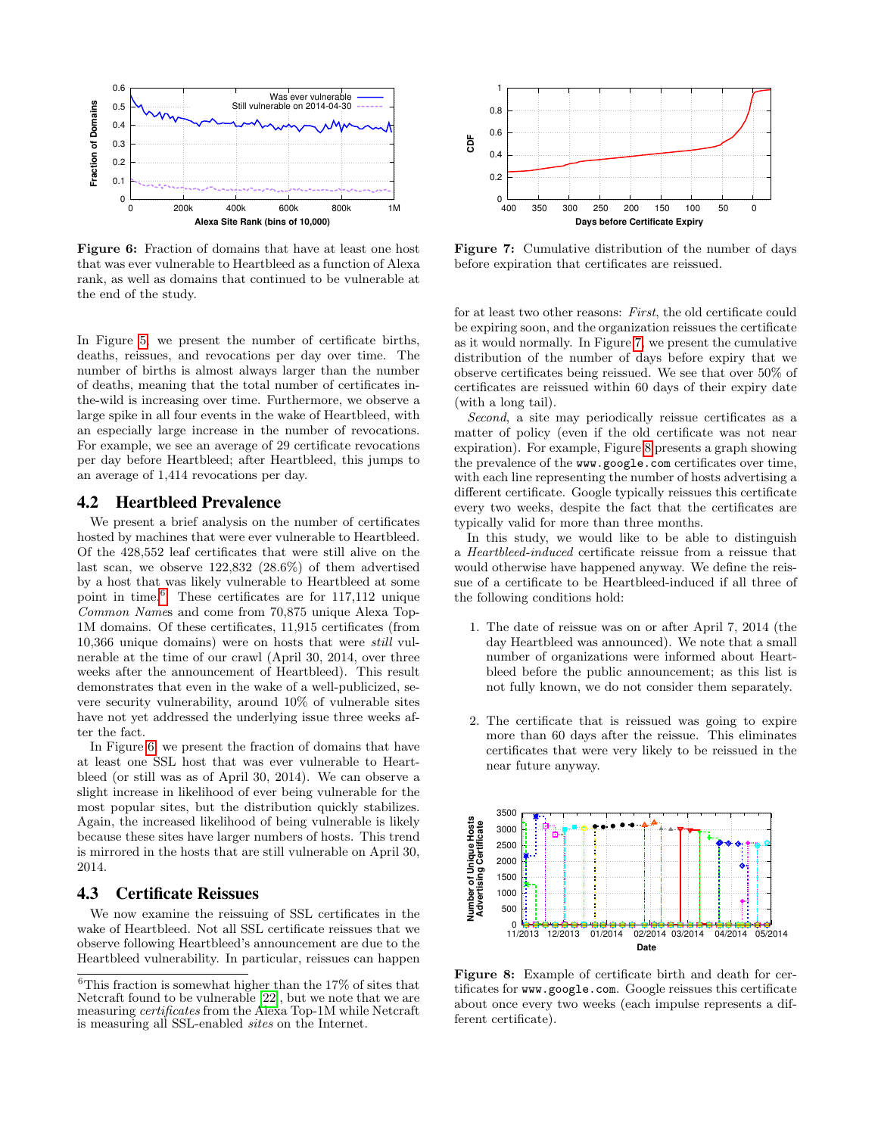<span id="page-6-1"></span>

Figure 6: Fraction of domains that have at least one host that was ever vulnerable to Heartbleed as a function of Alexa rank, as well as domains that continued to be vulnerable at the end of the study.

In Figure [5,](#page-5-4) we present the number of certificate births, deaths, reissues, and revocations per day over time. The number of births is almost always larger than the number of deaths, meaning that the total number of certificates inthe-wild is increasing over time. Furthermore, we observe a large spike in all four events in the wake of Heartbleed, with an especially large increase in the number of revocations. For example, we see an average of 29 certificate revocations per day before Heartbleed; after Heartbleed, this jumps to an average of 1,414 revocations per day.

## 4.2 Heartbleed Prevalence

We present a brief analysis on the number of certificates hosted by machines that were ever vulnerable to Heartbleed. Of the 428,552 leaf certificates that were still alive on the last scan, we observe 122,832 (28.6%) of them advertised by a host that was likely vulnerable to Heartbleed at some point in time.[6](#page-6-0) These certificates are for 117,112 unique Common Names and come from 70,875 unique Alexa Top-1M domains. Of these certificates, 11,915 certificates (from 10,366 unique domains) were on hosts that were still vulnerable at the time of our crawl (April 30, 2014, over three weeks after the announcement of Heartbleed). This result demonstrates that even in the wake of a well-publicized, severe security vulnerability, around 10% of vulnerable sites have not yet addressed the underlying issue three weeks after the fact. **Example 18**<br> **Example 32**<br> **Example 32**<br> **Example 32**<br> **Example 32**<br> **Example 32**<br> **Example 32**<br> **Example 32**<br> **Example 32**<br> **Example 32**<br> **Example 32**<br> **Example 32**<br> **Example 32**<br> **Example 32**<br> **Example 32**<br> **Example 32** 

In Figure [6,](#page-6-1) we present the fraction of domains that have at least one SSL host that was ever vulnerable to Heartbleed (or still was as of April 30, 2014). We can observe a slight increase in likelihood of ever being vulnerable for the most popular sites, but the distribution quickly stabilizes. Again, the increased likelihood of being vulnerable is likely because these sites have larger numbers of hosts. This trend is mirrored in the hosts that are still vulnerable on April 30, 2014.

## <span id="page-6-4"></span>4.3 Certificate Reissues

We now examine the reissuing of SSL certificates in the wake of Heartbleed. Not all SSL certificate reissues that we observe following Heartbleed's announcement are due to the Heartbleed vulnerability. In particular, reissues can happen

<span id="page-6-2"></span>

Figure 7: Cumulative distribution of the number of days before expiration that certificates are reissued.

for at least two other reasons: First, the old certificate could be expiring soon, and the organization reissues the certificate as it would normally. In Figure [7,](#page-6-2) we present the cumulative distribution of the number of days before expiry that we observe certificates being reissued. We see that over 50% of certificates are reissued within 60 days of their expiry date (with a long tail).

Second, a site may periodically reissue certificates as a matter of policy (even if the old certificate was not near expiration). For example, Figure [8](#page-6-3) presents a graph showing the prevalence of the www.google.com certificates over time, with each line representing the number of hosts advertising a different certificate. Google typically reissues this certificate every two weeks, despite the fact that the certificates are typically valid for more than three months.

In this study, we would like to be able to distinguish a Heartbleed-induced certificate reissue from a reissue that would otherwise have happened anyway. We define the reissue of a certificate to be Heartbleed-induced if all three of the following conditions hold:

- 1. The date of reissue was on or after April 7, 2014 (the day Heartbleed was announced). We note that a small number of organizations were informed about Heartbleed before the public announcement; as this list is not fully known, we do not consider them separately.
- 2. The certificate that is reissued was going to expire more than 60 days after the reissue. This eliminates certificates that were very likely to be reissued in the near future anyway.

<span id="page-6-3"></span>

Figure 8: Example of certificate birth and death for certificates for www.google.com. Google reissues this certificate about once every two weeks (each impulse represents a different certificate).

<span id="page-6-0"></span> $^6\mathrm{This}$  fraction is somewhat higher than the 17% of sites that Netcraft found to be vulnerable [\[22\]](#page-13-1), but we note that we are measuring *certificates* from the Alexa Top-1M while Netcraft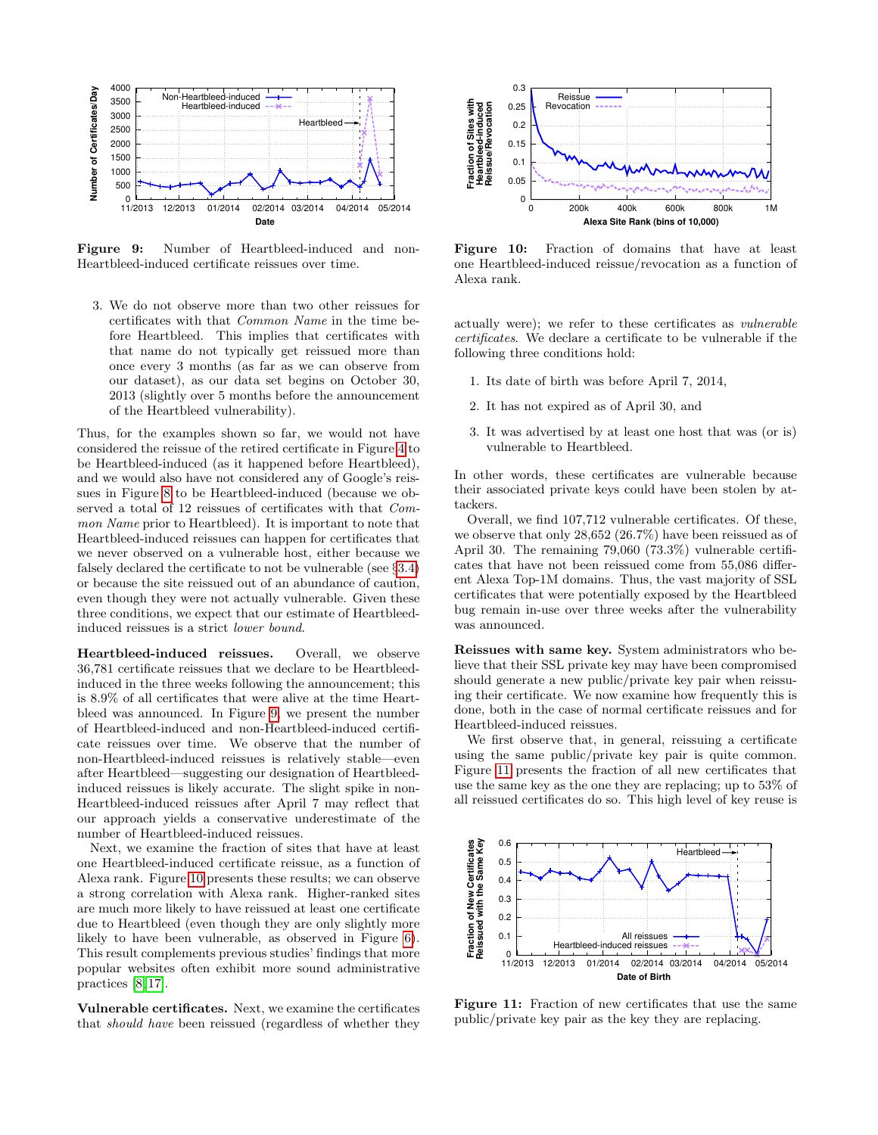<span id="page-7-0"></span>

Figure 9: Number of Heartbleed-induced and non-Heartbleed-induced certificate reissues over time.

3. We do not observe more than two other reissues for certificates with that Common Name in the time before Heartbleed. This implies that certificates with that name do not typically get reissued more than once every 3 months (as far as we can observe from our dataset), as our data set begins on October 30, 2013 (slightly over 5 months before the announcement of the Heartbleed vulnerability).

Thus, for the examples shown so far, we would not have considered the reissue of the retired certificate in Figure [4](#page-5-2) to be Heartbleed-induced (as it happened before Heartbleed), and we would also have not considered any of Google's reissues in Figure [8](#page-6-3) to be Heartbleed-induced (because we observed a total of 12 reissues of certificates with that Common Name prior to Heartbleed). It is important to note that Heartbleed-induced reissues can happen for certificates that we never observed on a vulnerable host, either because we falsely declared the certificate to not be vulnerable (see §[3.4\)](#page-4-0) or because the site reissued out of an abundance of caution, even though they were not actually vulnerable. Given these three conditions, we expect that our estimate of Heartbleedinduced reissues is a strict lower bound. From the theorem is a state of the shown in the show of the show of the show of the show of the show of the show of the show of the show of the show of the show of the show of the show of the show of the show of the show

Heartbleed-induced reissues. Overall, we observe 36,781 certificate reissues that we declare to be Heartbleedinduced in the three weeks following the announcement; this is 8.9% of all certificates that were alive at the time Heartbleed was announced. In Figure [9,](#page-7-0) we present the number of Heartbleed-induced and non-Heartbleed-induced certificate reissues over time. We observe that the number of non-Heartbleed-induced reissues is relatively stable—even after Heartbleed—suggesting our designation of Heartbleedinduced reissues is likely accurate. The slight spike in non-Heartbleed-induced reissues after April 7 may reflect that our approach yields a conservative underestimate of the number of Heartbleed-induced reissues.

Next, we examine the fraction of sites that have at least one Heartbleed-induced certificate reissue, as a function of Alexa rank. Figure [10](#page-7-1) presents these results; we can observe a strong correlation with Alexa rank. Higher-ranked sites are much more likely to have reissued at least one certificate due to Heartbleed (even though they are only slightly more likely to have been vulnerable, as observed in Figure [6\)](#page-6-1). This result complements previous studies' findings that more popular websites often exhibit more sound administrative practices [\[8,](#page-13-24) [17\]](#page-13-5).

Vulnerable certificates. Next, we examine the certificates

<span id="page-7-1"></span>

Figure 10: Fraction of domains that have at least one Heartbleed-induced reissue/revocation as a function of Alexa rank.

actually were); we refer to these certificates as vulnerable certificates. We declare a certificate to be vulnerable if the following three conditions hold:

- 1. Its date of birth was before April 7, 2014,
- 2. It has not expired as of April 30, and
- 3. It was advertised by at least one host that was (or is) vulnerable to Heartbleed.

In other words, these certificates are vulnerable because their associated private keys could have been stolen by attackers.

Overall, we find 107,712 vulnerable certificates. Of these, we observe that only 28,652 (26.7%) have been reissued as of April 30. The remaining 79,060 (73.3%) vulnerable certificates that have not been reissued come from 55,086 different Alexa Top-1M domains. Thus, the vast majority of SSL certificates that were potentially exposed by the Heartbleed bug remain in-use over three weeks after the vulnerability was announced.

Reissues with same key. System administrators who believe that their SSL private key may have been compromised should generate a new public/private key pair when reissuing their certificate. We now examine how frequently this is done, both in the case of normal certificate reissues and for Heartbleed-induced reissues.

We first observe that, in general, reissuing a certificate using the same public/private key pair is quite common. Figure [11](#page-7-2) presents the fraction of all new certificates that use the same key as the one they are replacing; up to 53% of all reissued certificates do so. This high level of key reuse is

<span id="page-7-2"></span>

Figure 11: Fraction of new certificates that use the same public/private key pair as the key they are replacing.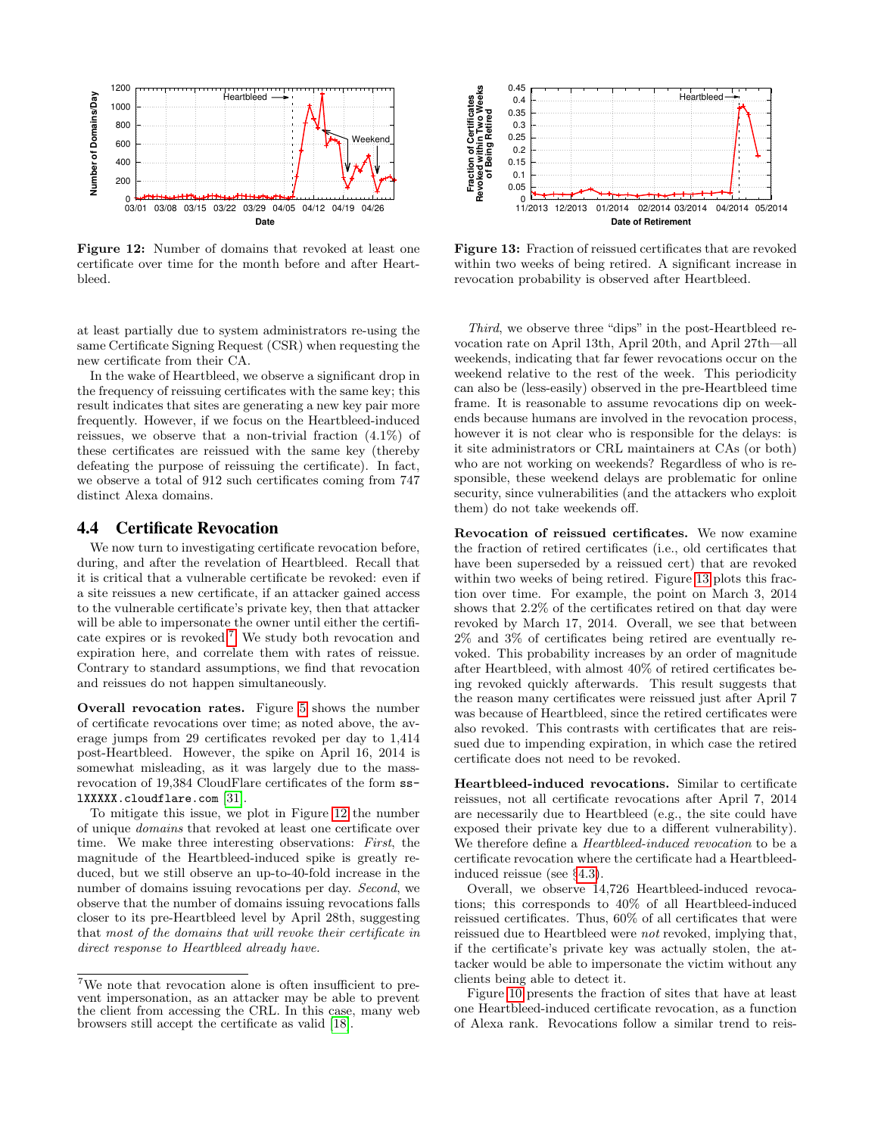<span id="page-8-1"></span>

Figure 12: Number of domains that revoked at least one certificate over time for the month before and after Heartbleed.

at least partially due to system administrators re-using the same Certificate Signing Request (CSR) when requesting the new certificate from their CA.

In the wake of Heartbleed, we observe a significant drop in the frequency of reissuing certificates with the same key; this result indicates that sites are generating a new key pair more frequently. However, if we focus on the Heartbleed-induced reissues, we observe that a non-trivial fraction (4.1%) of these certificates are reissued with the same key (thereby defeating the purpose of reissuing the certificate). In fact, we observe a total of 912 such certificates coming from 747 distinct Alexa domains.

# 4.4 Certificate Revocation

We now turn to investigating certificate revocation before, during, and after the revelation of Heartbleed. Recall that it is critical that a vulnerable certificate be revoked: even if a site reissues a new certificate, if an attacker gained access to the vulnerable certificate's private key, then that attacker will be able to impersonate the owner until either the certificate expires or is revoked.[7](#page-8-0) We study both revocation and expiration here, and correlate them with rates of reissue. Contrary to standard assumptions, we find that revocation and reissues do not happen simultaneously.

Overall revocation rates. Figure [5](#page-5-4) shows the number of certificate revocations over time; as noted above, the average jumps from 29 certificates revoked per day to 1,414 post-Heartbleed. However, the spike on April 16, 2014 is somewhat misleading, as it was largely due to the massrevocation of 19,384 CloudFlare certificates of the form sslXXXXX.cloudflare.com [\[31\]](#page-13-25).

To mitigate this issue, we plot in Figure [12](#page-8-1) the number of unique domains that revoked at least one certificate over time. We make three interesting observations: First, the magnitude of the Heartbleed-induced spike is greatly reduced, but we still observe an up-to-40-fold increase in the number of domains issuing revocations per day. Second, we observe that the number of domains issuing revocations falls closer to its pre-Heartbleed level by April 28th, suggesting that most of the domains that will revoke their certificate in direct response to Heartbleed already have. From the certification of the certification of the certification of the certification of the certification of the certification of the certification of the certification of the certification of the certification of the ce

<span id="page-8-2"></span>

Figure 13: Fraction of reissued certificates that are revoked within two weeks of being retired. A significant increase in revocation probability is observed after Heartbleed.

Third, we observe three "dips" in the post-Heartbleed revocation rate on April 13th, April 20th, and April 27th—all weekends, indicating that far fewer revocations occur on the weekend relative to the rest of the week. This periodicity can also be (less-easily) observed in the pre-Heartbleed time frame. It is reasonable to assume revocations dip on weekends because humans are involved in the revocation process, however it is not clear who is responsible for the delays: is it site administrators or CRL maintainers at CAs (or both) who are not working on weekends? Regardless of who is responsible, these weekend delays are problematic for online security, since vulnerabilities (and the attackers who exploit them) do not take weekends off.

Revocation of reissued certificates. We now examine the fraction of retired certificates (i.e., old certificates that have been superseded by a reissued cert) that are revoked within two weeks of being retired. Figure [13](#page-8-2) plots this fraction over time. For example, the point on March 3, 2014 shows that 2.2% of the certificates retired on that day were revoked by March 17, 2014. Overall, we see that between 2% and 3% of certificates being retired are eventually revoked. This probability increases by an order of magnitude after Heartbleed, with almost 40% of retired certificates being revoked quickly afterwards. This result suggests that the reason many certificates were reissued just after April 7 was because of Heartbleed, since the retired certificates were also revoked. This contrasts with certificates that are reissued due to impending expiration, in which case the retired certificate does not need to be revoked.

Heartbleed-induced revocations. Similar to certificate reissues, not all certificate revocations after April 7, 2014 are necessarily due to Heartbleed (e.g., the site could have exposed their private key due to a different vulnerability). We therefore define a Heartbleed-induced revocation to be a certificate revocation where the certificate had a Heartbleedinduced reissue (see §[4.3\)](#page-6-4).

Overall, we observe 14,726 Heartbleed-induced revocations; this corresponds to 40% of all Heartbleed-induced reissued certificates. Thus, 60% of all certificates that were reissued due to Heartbleed were not revoked, implying that, if the certificate's private key was actually stolen, the attacker would be able to impersonate the victim without any clients being able to detect it.

Figure [10](#page-7-1) presents the fraction of sites that have at least one Heartbleed-induced certificate revocation, as a function of Alexa rank. Revocations follow a similar trend to reis-

<span id="page-8-0"></span> ${\rm ^7We}$  note that revocation alone is often insufficient to prevent impersonation, as an attacker may be able to prevent the client from accessing the CRL. In this case, many web browsers still accept the certificate as valid [18].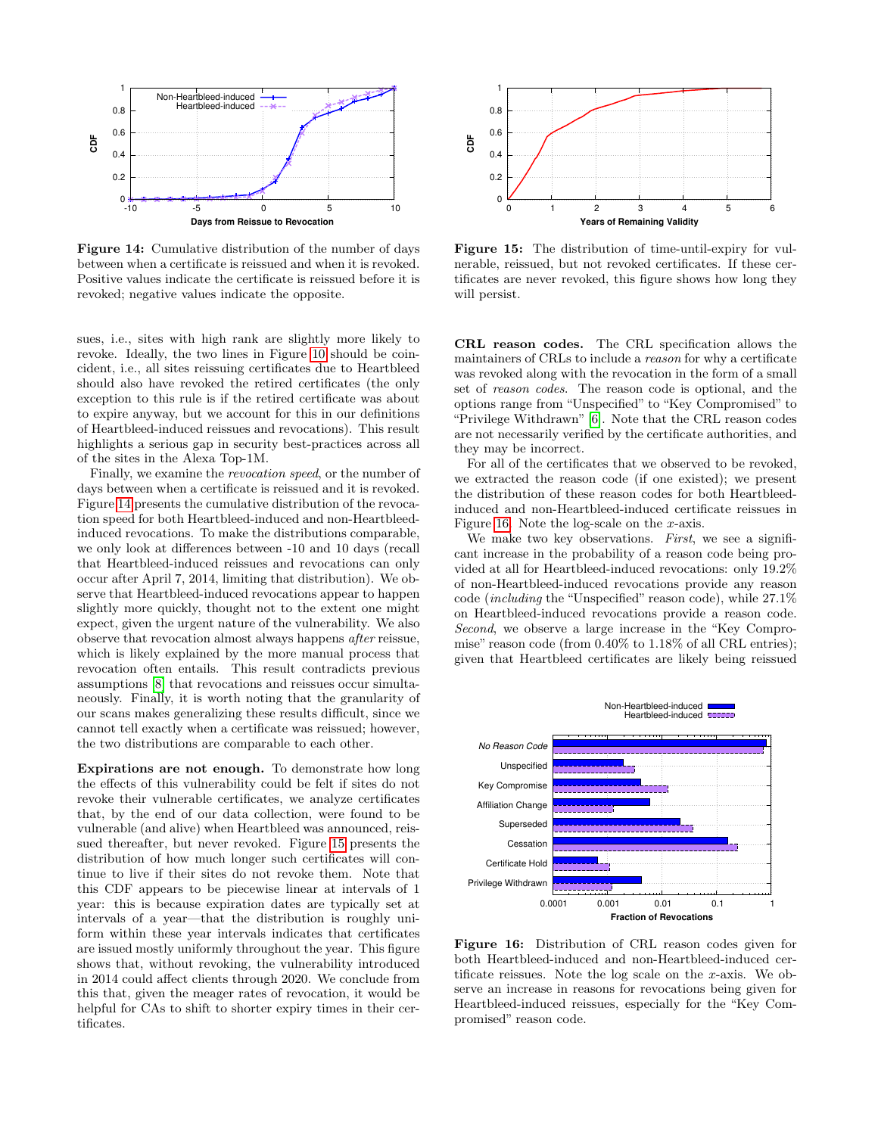<span id="page-9-0"></span>

Figure 14: Cumulative distribution of the number of days between when a certificate is reissued and when it is revoked. Positive values indicate the certificate is reissued before it is revoked; negative values indicate the opposite.

sues, i.e., sites with high rank are slightly more likely to revoke. Ideally, the two lines in Figure [10](#page-7-1) should be coincident, i.e., all sites reissuing certificates due to Heartbleed should also have revoked the retired certificates (the only exception to this rule is if the retired certificate was about to expire anyway, but we account for this in our definitions of Heartbleed-induced reissues and revocations). This result highlights a serious gap in security best-practices across all of the sites in the Alexa Top-1M.

Finally, we examine the revocation speed, or the number of days between when a certificate is reissued and it is revoked. Figure [14](#page-9-0) presents the cumulative distribution of the revocation speed for both Heartbleed-induced and non-Heartbleedinduced revocations. To make the distributions comparable, we only look at differences between -10 and 10 days (recall that Heartbleed-induced reissues and revocations can only occur after April 7, 2014, limiting that distribution). We observe that Heartbleed-induced revocations appear to happen slightly more quickly, thought not to the extent one might expect, given the urgent nature of the vulnerability. We also observe that revocation almost always happens after reissue, which is likely explained by the more manual process that revocation often entails. This result contradicts previous assumptions [\[8\]](#page-13-24) that revocations and reissues occur simultaneously. Finally, it is worth noting that the granularity of our scans makes generalizing these results difficult, since we cannot tell exactly when a certificate was reissued; however, the two distributions are comparable to each other. 38<br>
18 0.4<br>
18 0.4<br>
18 0.4<br>
18 0.4<br>
18 0.4<br>
18 0.4<br>
18 0.4<br>
18 0.4<br>
18 0.4<br>
18 0.4<br>
18 0.4<br>
18 0.4<br>
18 0.4<br>
18 0.4<br>
18 0.4<br>
18 0.4<br>
18 0.4<br>
18 0.4<br>
18 0.4<br>
18 0.4<br>
18 0.4<br>
19 0.4<br>
19 0.4<br>
19 0.4<br>
19 0.4<br>
19 0.4<br>
19 0.4<br>
1

Expirations are not enough. To demonstrate how long the effects of this vulnerability could be felt if sites do not revoke their vulnerable certificates, we analyze certificates that, by the end of our data collection, were found to be vulnerable (and alive) when Heartbleed was announced, reissued thereafter, but never revoked. Figure [15](#page-9-1) presents the distribution of how much longer such certificates will continue to live if their sites do not revoke them. Note that this CDF appears to be piecewise linear at intervals of 1 year: this is because expiration dates are typically set at intervals of a year—that the distribution is roughly uniform within these year intervals indicates that certificates are issued mostly uniformly throughout the year. This figure shows that, without revoking, the vulnerability introduced in 2014 could affect clients through 2020. We conclude from this that, given the meager rates of revocation, it would be helpful for CAs to shift to shorter expiry times in their cer-

<span id="page-9-1"></span>

Figure 15: The distribution of time-until-expiry for vulnerable, reissued, but not revoked certificates. If these certificates are never revoked, this figure shows how long they will persist.

CRL reason codes. The CRL specification allows the maintainers of CRLs to include a reason for why a certificate was revoked along with the revocation in the form of a small set of reason codes. The reason code is optional, and the options range from "Unspecified" to "Key Compromised" to "Privilege Withdrawn" [\[6\]](#page-13-6). Note that the CRL reason codes are not necessarily verified by the certificate authorities, and they may be incorrect.

For all of the certificates that we observed to be revoked, we extracted the reason code (if one existed); we present the distribution of these reason codes for both Heartbleedinduced and non-Heartbleed-induced certificate reissues in Figure [16.](#page-9-2) Note the log-scale on the  $x$ -axis.

We make two key observations. First, we see a significant increase in the probability of a reason code being provided at all for Heartbleed-induced revocations: only 19.2% of non-Heartbleed-induced revocations provide any reason code (including the "Unspecified" reason code), while 27.1% on Heartbleed-induced revocations provide a reason code. Second, we observe a large increase in the "Key Compromise" reason code (from 0.40% to 1.18% of all CRL entries); given that Heartbleed certificates are likely being reissued

<span id="page-9-2"></span>

Figure 16: Distribution of CRL reason codes given for both Heartbleed-induced and non-Heartbleed-induced certificate reissues. Note the log scale on the x-axis. We observe an increase in reasons for revocations being given for Heartbleed-induced reissues, especially for the "Key Compromised" reason code.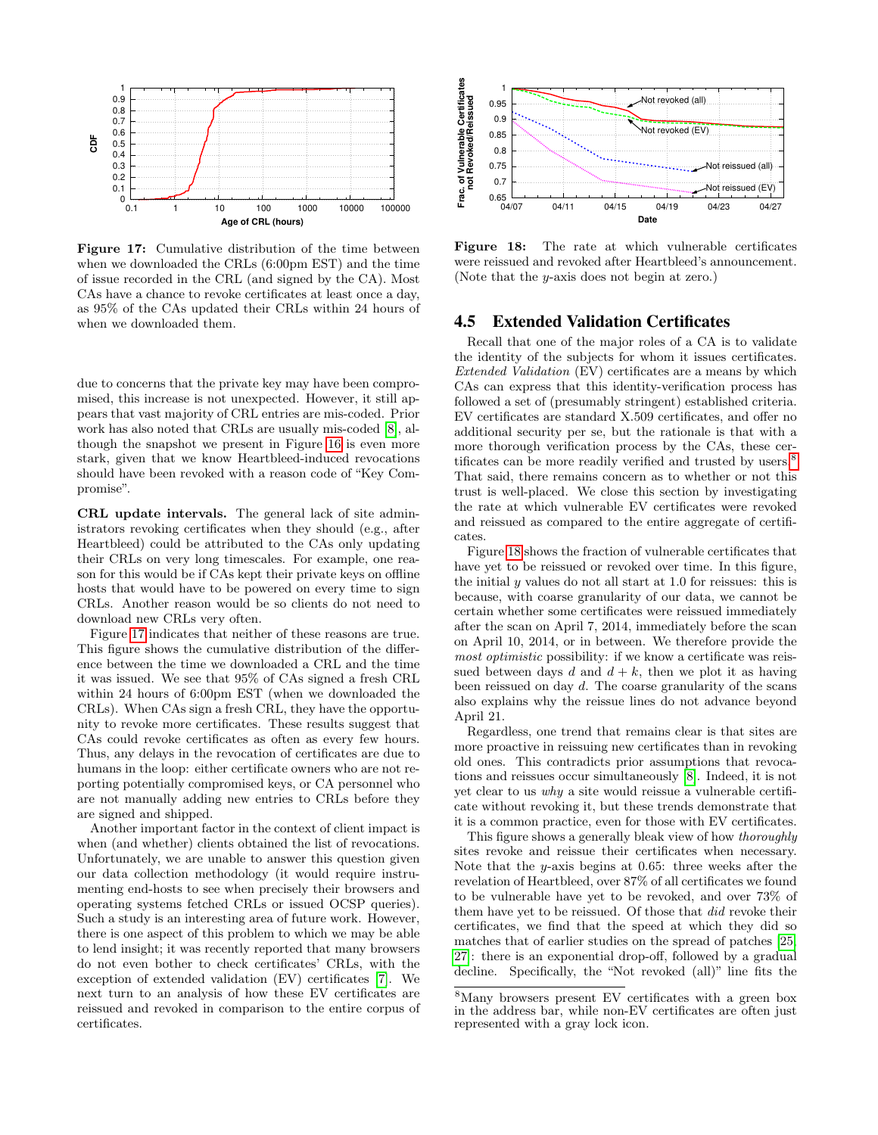<span id="page-10-0"></span>

Figure 17: Cumulative distribution of the time between when we downloaded the CRLs (6:00pm EST) and the time of issue recorded in the CRL (and signed by the CA). Most CAs have a chance to revoke certificates at least once a day, as 95% of the CAs updated their CRLs within 24 hours of when we downloaded them.

due to concerns that the private key may have been compromised, this increase is not unexpected. However, it still appears that vast majority of CRL entries are mis-coded. Prior work has also noted that CRLs are usually mis-coded [\[8\]](#page-13-24), although the snapshot we present in Figure [16](#page-9-2) is even more stark, given that we know Heartbleed-induced revocations should have been revoked with a reason code of "Key Compromise".

CRL update intervals. The general lack of site administrators revoking certificates when they should (e.g., after Heartbleed) could be attributed to the CAs only updating their CRLs on very long timescales. For example, one reason for this would be if CAs kept their private keys on offline hosts that would have to be powered on every time to sign CRLs. Another reason would be so clients do not need to download new CRLs very often.

Figure [17](#page-10-0) indicates that neither of these reasons are true. This figure shows the cumulative distribution of the difference between the time we downloaded a CRL and the time it was issued. We see that 95% of CAs signed a fresh CRL within 24 hours of 6:00pm EST (when we downloaded the CRLs). When CAs sign a fresh CRL, they have the opportunity to revoke more certificates. These results suggest that CAs could revoke certificates as often as every few hours. Thus, any delays in the revocation of certificates are due to humans in the loop: either certificate owners who are not reporting potentially compromised keys, or CA personnel who are not manually adding new entries to CRLs before they are signed and shipped.

Another important factor in the context of client impact is when (and whether) clients obtained the list of revocations. Unfortunately, we are unable to answer this question given our data collection methodology (it would require instrumenting end-hosts to see when precisely their browsers and operating systems fetched CRLs or issued OCSP queries). Such a study is an interesting area of future work. However, there is one aspect of this problem to which we may be able to lend insight; it was recently reported that many browsers do not even bother to check certificates' CRLs, with the exception of extended validation (EV) certificates [\[7\]](#page-13-27). We next turn to an analysis of how these EV certificates are reissued and revoked in comparison to the entire corpus of certificates.

<span id="page-10-2"></span>

Figure 18: The rate at which vulnerable certificates were reissued and revoked after Heartbleed's announcement. (Note that the y-axis does not begin at zero.)

## 4.5 Extended Validation Certificates

Recall that one of the major roles of a CA is to validate the identity of the subjects for whom it issues certificates. Extended Validation (EV) certificates are a means by which CAs can express that this identity-verification process has followed a set of (presumably stringent) established criteria. EV certificates are standard X.509 certificates, and offer no additional security per se, but the rationale is that with a more thorough verification process by the CAs, these cer-tificates can be more readily verified and trusted by users.<sup>[8](#page-10-1)</sup> That said, there remains concern as to whether or not this trust is well-placed. We close this section by investigating the rate at which vulnerable EV certificates were revoked and reissued as compared to the entire aggregate of certificates.

Figure [18](#page-10-2) shows the fraction of vulnerable certificates that have yet to be reissued or revoked over time. In this figure, the initial  $y$  values do not all start at 1.0 for reissues: this is because, with coarse granularity of our data, we cannot be certain whether some certificates were reissued immediately after the scan on April 7, 2014, immediately before the scan on April 10, 2014, or in between. We therefore provide the most optimistic possibility: if we know a certificate was reissued between days d and  $d + k$ , then we plot it as having been reissued on day d. The coarse granularity of the scans also explains why the reissue lines do not advance beyond April 21.

Regardless, one trend that remains clear is that sites are more proactive in reissuing new certificates than in revoking old ones. This contradicts prior assumptions that revocations and reissues occur simultaneously [\[8\]](#page-13-24). Indeed, it is not yet clear to us why a site would reissue a vulnerable certificate without revoking it, but these trends demonstrate that it is a common practice, even for those with EV certificates.

This figure shows a generally bleak view of how thoroughly sites revoke and reissue their certificates when necessary. Note that the y-axis begins at 0.65: three weeks after the revelation of Heartbleed, over 87% of all certificates we found to be vulnerable have yet to be revoked, and over 73% of them have yet to be reissued. Of those that did revoke their certificates, we find that the speed at which they did so matches that of earlier studies on the spread of patches [\[25,](#page-13-2) [27\]](#page-13-3): there is an exponential drop-off, followed by a gradual decline. Specifically, the "Not revoked (all)" line fits the

<span id="page-10-1"></span><sup>8</sup>Many browsers present EV certificates with a green box in the address bar, while non-EV certificates are often just represented with a gray lock icon.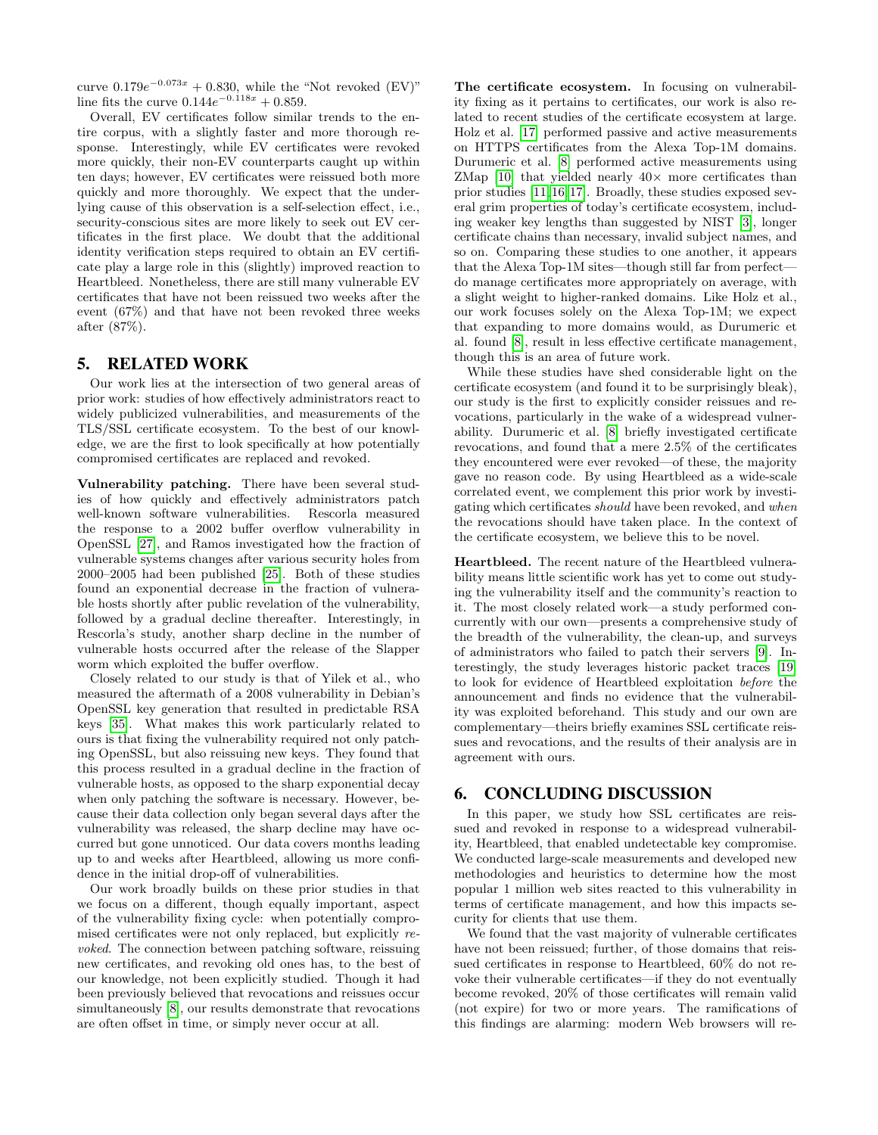curve  $0.179e^{-0.073x} + 0.830$ , while the "Not revoked (EV)" line fits the curve  $0.144e^{-0.118x} + 0.859$ .

Overall, EV certificates follow similar trends to the entire corpus, with a slightly faster and more thorough response. Interestingly, while EV certificates were revoked more quickly, their non-EV counterparts caught up within ten days; however, EV certificates were reissued both more quickly and more thoroughly. We expect that the underlying cause of this observation is a self-selection effect, i.e., security-conscious sites are more likely to seek out EV certificates in the first place. We doubt that the additional identity verification steps required to obtain an EV certificate play a large role in this (slightly) improved reaction to Heartbleed. Nonetheless, there are still many vulnerable EV certificates that have not been reissued two weeks after the event (67%) and that have not been revoked three weeks after (87%).

## <span id="page-11-0"></span>5. RELATED WORK

Our work lies at the intersection of two general areas of prior work: studies of how effectively administrators react to widely publicized vulnerabilities, and measurements of the TLS/SSL certificate ecosystem. To the best of our knowledge, we are the first to look specifically at how potentially compromised certificates are replaced and revoked.

Vulnerability patching. There have been several studies of how quickly and effectively administrators patch well-known software vulnerabilities. Rescorla measured the response to a 2002 buffer overflow vulnerability in OpenSSL [\[27\]](#page-13-3), and Ramos investigated how the fraction of vulnerable systems changes after various security holes from 2000–2005 had been published [\[25\]](#page-13-2). Both of these studies found an exponential decrease in the fraction of vulnerable hosts shortly after public revelation of the vulnerability, followed by a gradual decline thereafter. Interestingly, in Rescorla's study, another sharp decline in the number of vulnerable hosts occurred after the release of the Slapper worm which exploited the buffer overflow.

Closely related to our study is that of Yilek et al., who measured the aftermath of a 2008 vulnerability in Debian's OpenSSL key generation that resulted in predictable RSA keys [\[35\]](#page-13-4). What makes this work particularly related to ours is that fixing the vulnerability required not only patching OpenSSL, but also reissuing new keys. They found that this process resulted in a gradual decline in the fraction of vulnerable hosts, as opposed to the sharp exponential decay when only patching the software is necessary. However, because their data collection only began several days after the vulnerability was released, the sharp decline may have occurred but gone unnoticed. Our data covers months leading up to and weeks after Heartbleed, allowing us more confidence in the initial drop-off of vulnerabilities.

Our work broadly builds on these prior studies in that we focus on a different, though equally important, aspect of the vulnerability fixing cycle: when potentially compromised certificates were not only replaced, but explicitly revoked. The connection between patching software, reissuing new certificates, and revoking old ones has, to the best of our knowledge, not been explicitly studied. Though it had been previously believed that revocations and reissues occur simultaneously [\[8\]](#page-13-24), our results demonstrate that revocations are often offset in time, or simply never occur at all.

The certificate ecosystem. In focusing on vulnerability fixing as it pertains to certificates, our work is also related to recent studies of the certificate ecosystem at large. Holz et al. [\[17\]](#page-13-5) performed passive and active measurements on HTTPS certificates from the Alexa Top-1M domains. Durumeric et al. [\[8\]](#page-13-24) performed active measurements using ZMap  $[10]$  that yielded nearly  $40\times$  more certificates than prior studies [\[11,](#page-13-29)[16,](#page-13-30)[17\]](#page-13-5). Broadly, these studies exposed several grim properties of today's certificate ecosystem, including weaker key lengths than suggested by NIST [\[3\]](#page-12-2), longer certificate chains than necessary, invalid subject names, and so on. Comparing these studies to one another, it appears that the Alexa Top-1M sites—though still far from perfect do manage certificates more appropriately on average, with a slight weight to higher-ranked domains. Like Holz et al., our work focuses solely on the Alexa Top-1M; we expect that expanding to more domains would, as Durumeric et al. found [\[8\]](#page-13-24), result in less effective certificate management, though this is an area of future work.

While these studies have shed considerable light on the certificate ecosystem (and found it to be surprisingly bleak), our study is the first to explicitly consider reissues and revocations, particularly in the wake of a widespread vulnerability. Durumeric et al. [\[8\]](#page-13-24) briefly investigated certificate revocations, and found that a mere 2.5% of the certificates they encountered were ever revoked—of these, the majority gave no reason code. By using Heartbleed as a wide-scale correlated event, we complement this prior work by investigating which certificates should have been revoked, and when the revocations should have taken place. In the context of the certificate ecosystem, we believe this to be novel.

Heartbleed. The recent nature of the Heartbleed vulnerability means little scientific work has yet to come out studying the vulnerability itself and the community's reaction to it. The most closely related work—a study performed concurrently with our own—presents a comprehensive study of the breadth of the vulnerability, the clean-up, and surveys of administrators who failed to patch their servers [\[9\]](#page-13-31). Interestingly, the study leverages historic packet traces [\[19\]](#page-13-32) to look for evidence of Heartbleed exploitation before the announcement and finds no evidence that the vulnerability was exploited beforehand. This study and our own are complementary—theirs briefly examines SSL certificate reissues and revocations, and the results of their analysis are in agreement with ours.

## <span id="page-11-1"></span>6. CONCLUDING DISCUSSION

In this paper, we study how SSL certificates are reissued and revoked in response to a widespread vulnerability, Heartbleed, that enabled undetectable key compromise. We conducted large-scale measurements and developed new methodologies and heuristics to determine how the most popular 1 million web sites reacted to this vulnerability in terms of certificate management, and how this impacts security for clients that use them.

We found that the vast majority of vulnerable certificates have not been reissued; further, of those domains that reissued certificates in response to Heartbleed, 60% do not revoke their vulnerable certificates—if they do not eventually become revoked, 20% of those certificates will remain valid (not expire) for two or more years. The ramifications of this findings are alarming: modern Web browsers will re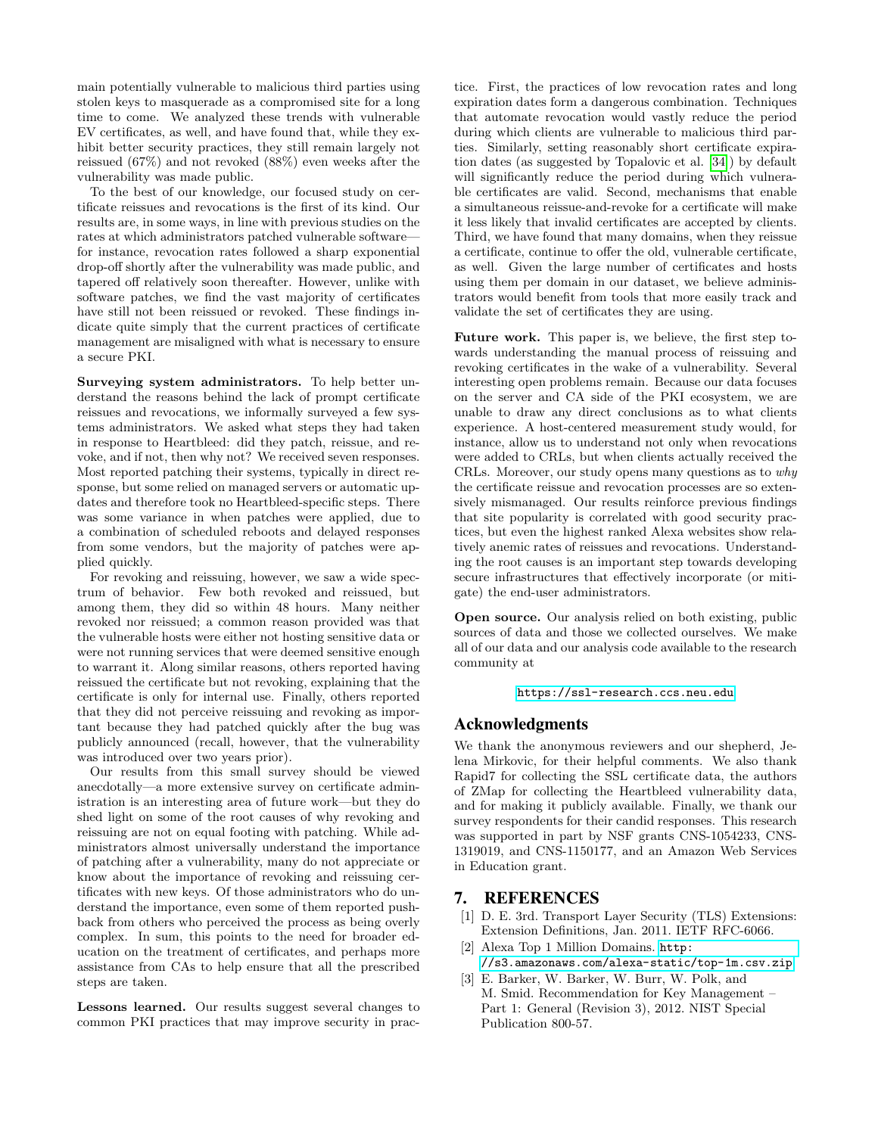main potentially vulnerable to malicious third parties using stolen keys to masquerade as a compromised site for a long time to come. We analyzed these trends with vulnerable EV certificates, as well, and have found that, while they exhibit better security practices, they still remain largely not reissued (67%) and not revoked (88%) even weeks after the vulnerability was made public.

To the best of our knowledge, our focused study on certificate reissues and revocations is the first of its kind. Our results are, in some ways, in line with previous studies on the rates at which administrators patched vulnerable software for instance, revocation rates followed a sharp exponential drop-off shortly after the vulnerability was made public, and tapered off relatively soon thereafter. However, unlike with software patches, we find the vast majority of certificates have still not been reissued or revoked. These findings indicate quite simply that the current practices of certificate management are misaligned with what is necessary to ensure a secure PKI.

Surveying system administrators. To help better understand the reasons behind the lack of prompt certificate reissues and revocations, we informally surveyed a few systems administrators. We asked what steps they had taken in response to Heartbleed: did they patch, reissue, and revoke, and if not, then why not? We received seven responses. Most reported patching their systems, typically in direct response, but some relied on managed servers or automatic updates and therefore took no Heartbleed-specific steps. There was some variance in when patches were applied, due to a combination of scheduled reboots and delayed responses from some vendors, but the majority of patches were applied quickly.

For revoking and reissuing, however, we saw a wide spectrum of behavior. Few both revoked and reissued, but among them, they did so within 48 hours. Many neither revoked nor reissued; a common reason provided was that the vulnerable hosts were either not hosting sensitive data or were not running services that were deemed sensitive enough to warrant it. Along similar reasons, others reported having reissued the certificate but not revoking, explaining that the certificate is only for internal use. Finally, others reported that they did not perceive reissuing and revoking as important because they had patched quickly after the bug was publicly announced (recall, however, that the vulnerability was introduced over two years prior).

Our results from this small survey should be viewed anecdotally—a more extensive survey on certificate administration is an interesting area of future work—but they do shed light on some of the root causes of why revoking and reissuing are not on equal footing with patching. While administrators almost universally understand the importance of patching after a vulnerability, many do not appreciate or know about the importance of revoking and reissuing certificates with new keys. Of those administrators who do understand the importance, even some of them reported pushback from others who perceived the process as being overly complex. In sum, this points to the need for broader education on the treatment of certificates, and perhaps more assistance from CAs to help ensure that all the prescribed steps are taken.

Lessons learned. Our results suggest several changes to common PKI practices that may improve security in practice. First, the practices of low revocation rates and long expiration dates form a dangerous combination. Techniques that automate revocation would vastly reduce the period during which clients are vulnerable to malicious third parties. Similarly, setting reasonably short certificate expiration dates (as suggested by Topalovic et al. [\[34\]](#page-13-33)) by default will significantly reduce the period during which vulnerable certificates are valid. Second, mechanisms that enable a simultaneous reissue-and-revoke for a certificate will make it less likely that invalid certificates are accepted by clients. Third, we have found that many domains, when they reissue a certificate, continue to offer the old, vulnerable certificate, as well. Given the large number of certificates and hosts using them per domain in our dataset, we believe administrators would benefit from tools that more easily track and validate the set of certificates they are using.

Future work. This paper is, we believe, the first step towards understanding the manual process of reissuing and revoking certificates in the wake of a vulnerability. Several interesting open problems remain. Because our data focuses on the server and CA side of the PKI ecosystem, we are unable to draw any direct conclusions as to what clients experience. A host-centered measurement study would, for instance, allow us to understand not only when revocations were added to CRLs, but when clients actually received the CRLs. Moreover, our study opens many questions as to why the certificate reissue and revocation processes are so extensively mismanaged. Our results reinforce previous findings that site popularity is correlated with good security practices, but even the highest ranked Alexa websites show relatively anemic rates of reissues and revocations. Understanding the root causes is an important step towards developing secure infrastructures that effectively incorporate (or mitigate) the end-user administrators.

Open source. Our analysis relied on both existing, public sources of data and those we collected ourselves. We make all of our data and our analysis code available to the research community at

<https://ssl-research.ccs.neu.edu>

## Acknowledgments

We thank the anonymous reviewers and our shepherd, Jelena Mirkovic, for their helpful comments. We also thank Rapid7 for collecting the SSL certificate data, the authors of ZMap for collecting the Heartbleed vulnerability data, and for making it publicly available. Finally, we thank our survey respondents for their candid responses. This research was supported in part by NSF grants CNS-1054233, CNS-1319019, and CNS-1150177, and an Amazon Web Services in Education grant.

## 7. REFERENCES

- <span id="page-12-1"></span>[1] D. E. 3rd. Transport Layer Security (TLS) Extensions: Extension Definitions, Jan. 2011. IETF RFC-6066.
- <span id="page-12-0"></span>[2] Alexa Top 1 Million Domains. [http:](http://s3.amazonaws.com/alexa-static/top-1m.csv.zip) [//s3.amazonaws.com/alexa-static/top-1m.csv.zip](http://s3.amazonaws.com/alexa-static/top-1m.csv.zip).
- <span id="page-12-2"></span>[3] E. Barker, W. Barker, W. Burr, W. Polk, and M. Smid. Recommendation for Key Management – Part 1: General (Revision 3), 2012. NIST Special Publication 800-57.